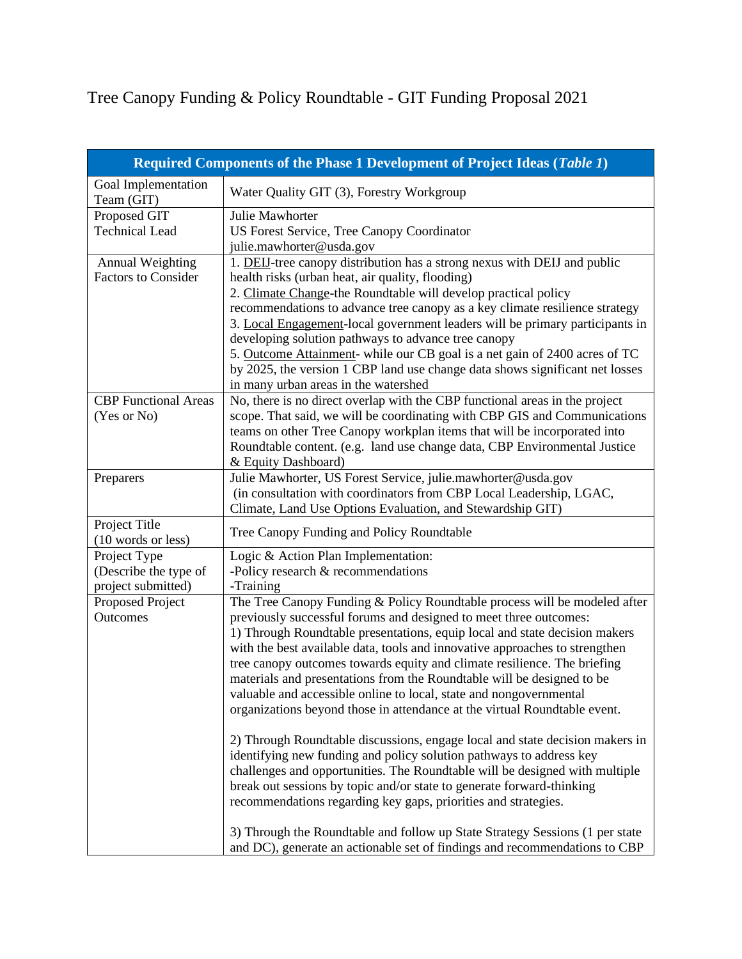Tree Canopy Funding & Policy Roundtable - GIT Funding Proposal 2021

| Required Components of the Phase 1 Development of Project Ideas (Table 1) |                                                                                                                                                            |  |
|---------------------------------------------------------------------------|------------------------------------------------------------------------------------------------------------------------------------------------------------|--|
| Goal Implementation<br>Team (GIT)                                         | Water Quality GIT (3), Forestry Workgroup                                                                                                                  |  |
| Proposed GIT                                                              | Julie Mawhorter                                                                                                                                            |  |
| <b>Technical Lead</b>                                                     | US Forest Service, Tree Canopy Coordinator                                                                                                                 |  |
|                                                                           | julie.mawhorter@usda.gov                                                                                                                                   |  |
| <b>Annual Weighting</b>                                                   | 1. DEIJ-tree canopy distribution has a strong nexus with DEIJ and public                                                                                   |  |
| <b>Factors to Consider</b>                                                | health risks (urban heat, air quality, flooding)                                                                                                           |  |
|                                                                           | 2. Climate Change-the Roundtable will develop practical policy                                                                                             |  |
|                                                                           | recommendations to advance tree canopy as a key climate resilience strategy                                                                                |  |
|                                                                           | 3. Local Engagement-local government leaders will be primary participants in                                                                               |  |
|                                                                           | developing solution pathways to advance tree canopy                                                                                                        |  |
|                                                                           | 5. Outcome Attainment- while our CB goal is a net gain of 2400 acres of TC                                                                                 |  |
|                                                                           | by 2025, the version 1 CBP land use change data shows significant net losses                                                                               |  |
| <b>CBP</b> Functional Areas                                               | in many urban areas in the watershed                                                                                                                       |  |
| (Yes or No)                                                               | No, there is no direct overlap with the CBP functional areas in the project<br>scope. That said, we will be coordinating with CBP GIS and Communications   |  |
|                                                                           | teams on other Tree Canopy workplan items that will be incorporated into                                                                                   |  |
|                                                                           | Roundtable content. (e.g. land use change data, CBP Environmental Justice                                                                                  |  |
|                                                                           | & Equity Dashboard)                                                                                                                                        |  |
| Preparers                                                                 | Julie Mawhorter, US Forest Service, julie.mawhorter@usda.gov                                                                                               |  |
|                                                                           | (in consultation with coordinators from CBP Local Leadership, LGAC,                                                                                        |  |
|                                                                           | Climate, Land Use Options Evaluation, and Stewardship GIT)                                                                                                 |  |
| Project Title                                                             | Tree Canopy Funding and Policy Roundtable                                                                                                                  |  |
| (10 words or less)                                                        |                                                                                                                                                            |  |
| Project Type                                                              | Logic & Action Plan Implementation:                                                                                                                        |  |
| (Describe the type of                                                     | -Policy research & recommendations                                                                                                                         |  |
| project submitted)                                                        | -Training                                                                                                                                                  |  |
| Proposed Project                                                          | The Tree Canopy Funding & Policy Roundtable process will be modeled after                                                                                  |  |
| <b>Outcomes</b>                                                           | previously successful forums and designed to meet three outcomes:                                                                                          |  |
|                                                                           | 1) Through Roundtable presentations, equip local and state decision makers                                                                                 |  |
|                                                                           | with the best available data, tools and innovative approaches to strengthen                                                                                |  |
|                                                                           | tree canopy outcomes towards equity and climate resilience. The briefing<br>materials and presentations from the Roundtable will be designed to be         |  |
|                                                                           | valuable and accessible online to local, state and nongovernmental                                                                                         |  |
|                                                                           | organizations beyond those in attendance at the virtual Roundtable event.                                                                                  |  |
|                                                                           |                                                                                                                                                            |  |
|                                                                           | 2) Through Roundtable discussions, engage local and state decision makers in                                                                               |  |
|                                                                           | identifying new funding and policy solution pathways to address key                                                                                        |  |
|                                                                           | challenges and opportunities. The Roundtable will be designed with multiple                                                                                |  |
|                                                                           | break out sessions by topic and/or state to generate forward-thinking                                                                                      |  |
|                                                                           | recommendations regarding key gaps, priorities and strategies.                                                                                             |  |
|                                                                           |                                                                                                                                                            |  |
|                                                                           | 3) Through the Roundtable and follow up State Strategy Sessions (1 per state<br>and DC), generate an actionable set of findings and recommendations to CBP |  |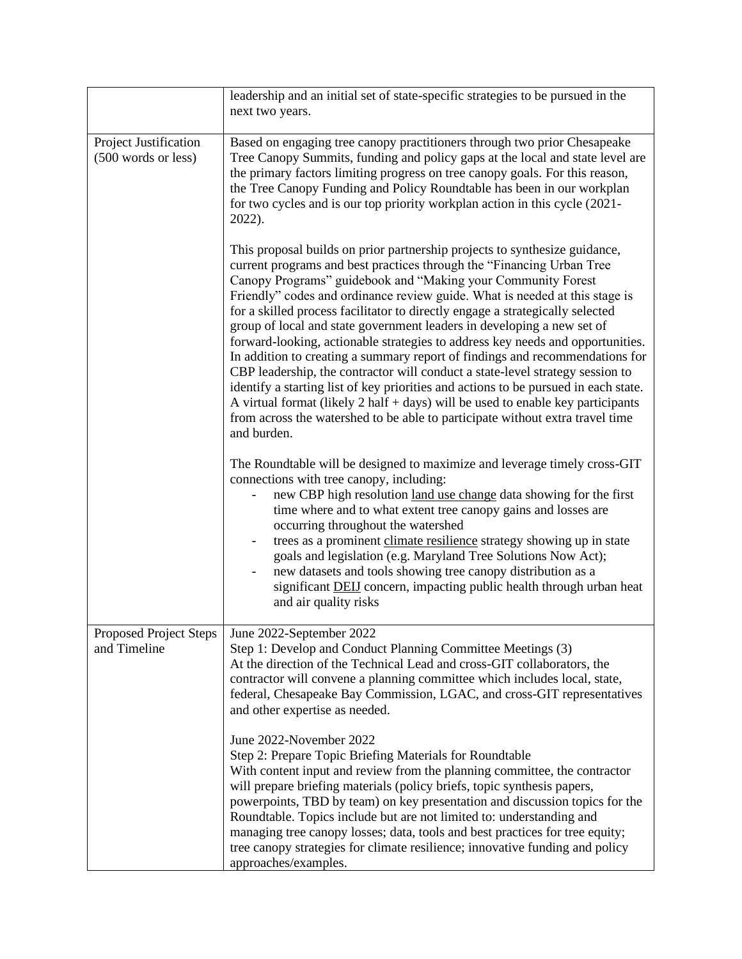|                                              | leadership and an initial set of state-specific strategies to be pursued in the<br>next two years.                                                                                                                                                                                                                                                                                                                                                                                                                                                                                                                                                                                                                                                                                                                                                                                                                                                                                             |
|----------------------------------------------|------------------------------------------------------------------------------------------------------------------------------------------------------------------------------------------------------------------------------------------------------------------------------------------------------------------------------------------------------------------------------------------------------------------------------------------------------------------------------------------------------------------------------------------------------------------------------------------------------------------------------------------------------------------------------------------------------------------------------------------------------------------------------------------------------------------------------------------------------------------------------------------------------------------------------------------------------------------------------------------------|
| Project Justification<br>(500 words or less) | Based on engaging tree canopy practitioners through two prior Chesapeake<br>Tree Canopy Summits, funding and policy gaps at the local and state level are<br>the primary factors limiting progress on tree canopy goals. For this reason,<br>the Tree Canopy Funding and Policy Roundtable has been in our workplan<br>for two cycles and is our top priority workplan action in this cycle (2021-<br>2022).                                                                                                                                                                                                                                                                                                                                                                                                                                                                                                                                                                                   |
|                                              | This proposal builds on prior partnership projects to synthesize guidance,<br>current programs and best practices through the "Financing Urban Tree<br>Canopy Programs" guidebook and "Making your Community Forest<br>Friendly" codes and ordinance review guide. What is needed at this stage is<br>for a skilled process facilitator to directly engage a strategically selected<br>group of local and state government leaders in developing a new set of<br>forward-looking, actionable strategies to address key needs and opportunities.<br>In addition to creating a summary report of findings and recommendations for<br>CBP leadership, the contractor will conduct a state-level strategy session to<br>identify a starting list of key priorities and actions to be pursued in each state.<br>A virtual format (likely $2$ half $+$ days) will be used to enable key participants<br>from across the watershed to be able to participate without extra travel time<br>and burden. |
|                                              | The Roundtable will be designed to maximize and leverage timely cross-GIT<br>connections with tree canopy, including:<br>new CBP high resolution land use change data showing for the first<br>time where and to what extent tree canopy gains and losses are<br>occurring throughout the watershed<br>trees as a prominent climate resilience strategy showing up in state<br>goals and legislation (e.g. Maryland Tree Solutions Now Act);<br>new datasets and tools showing tree canopy distribution as a<br>significant <b>DEIJ</b> concern, impacting public health through urban heat<br>and air quality risks                                                                                                                                                                                                                                                                                                                                                                           |
| Proposed Project Steps<br>and Timeline       | June 2022-September 2022<br>Step 1: Develop and Conduct Planning Committee Meetings (3)<br>At the direction of the Technical Lead and cross-GIT collaborators, the<br>contractor will convene a planning committee which includes local, state,<br>federal, Chesapeake Bay Commission, LGAC, and cross-GIT representatives<br>and other expertise as needed.                                                                                                                                                                                                                                                                                                                                                                                                                                                                                                                                                                                                                                   |
|                                              | June 2022-November 2022<br>Step 2: Prepare Topic Briefing Materials for Roundtable<br>With content input and review from the planning committee, the contractor<br>will prepare briefing materials (policy briefs, topic synthesis papers,<br>powerpoints, TBD by team) on key presentation and discussion topics for the<br>Roundtable. Topics include but are not limited to: understanding and<br>managing tree canopy losses; data, tools and best practices for tree equity;<br>tree canopy strategies for climate resilience; innovative funding and policy<br>approaches/examples.                                                                                                                                                                                                                                                                                                                                                                                                      |